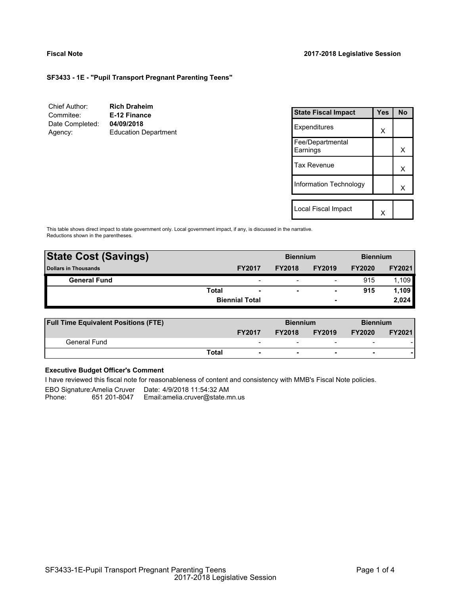### **Fiscal Note 2017-2018 Legislative Session**

X

# **SF3433 - 1E - "Pupil Transport Pregnant Parenting Teens"**

| Chief Author:              | <b>Rich Draheim</b>                       |                              |            |           |
|----------------------------|-------------------------------------------|------------------------------|------------|-----------|
| Commitee:                  | E-12 Finance                              | <b>State Fiscal Impact</b>   | <b>Yes</b> | <b>No</b> |
| Date Completed:<br>Agency: | 04/09/2018<br><b>Education Department</b> | Expenditures                 | X          |           |
|                            |                                           | Fee/Departmental<br>Earnings |            | X         |
|                            |                                           | Tax Revenue                  |            | X         |
|                            |                                           | Information Technology       |            | Χ         |
|                            |                                           |                              |            |           |
|                            |                                           | Local Fiscal Impact          | $\lambda$  |           |

This table shows direct impact to state government only. Local government impact, if any, is discussed in the narrative. Reductions shown in the parentheses.

| <b>State Cost (Savings)</b> |              |                          | <b>Biennium</b> |                          | <b>Biennium</b> |        |  |
|-----------------------------|--------------|--------------------------|-----------------|--------------------------|-----------------|--------|--|
| <b>Dollars in Thousands</b> |              | <b>FY2017</b>            | <b>FY2018</b>   | <b>FY2019</b>            | <b>FY2020</b>   | FY2021 |  |
| <b>General Fund</b>         |              | $\overline{\phantom{0}}$ |                 | $\overline{\phantom{0}}$ | 915             | 1.109  |  |
|                             | <b>Total</b> | $\overline{\phantom{a}}$ | -               | $\overline{\phantom{a}}$ | 915             | 1.109  |  |
|                             |              | <b>Biennial Total</b>    |                 | $\overline{\phantom{0}}$ |                 | 2,024  |  |
|                             |              |                          |                 |                          |                 |        |  |

| <b>Full Time Equivalent Positions (FTE)</b> |                                   | <b>Biennium</b> |                          | <b>Biennium</b>          |               |
|---------------------------------------------|-----------------------------------|-----------------|--------------------------|--------------------------|---------------|
|                                             | <b>FY2017</b>                     | <b>FY2018</b>   | <b>FY2019</b>            | <b>FY2020</b>            | <b>FY2021</b> |
| General Fund                                | $\overline{\phantom{0}}$          |                 |                          | $\overline{\phantom{0}}$ |               |
|                                             | Total<br>$\overline{\phantom{a}}$ | -               | $\overline{\phantom{0}}$ | -                        |               |

# **Executive Budget Officer's Comment**

I have reviewed this fiscal note for reasonableness of content and consistency with MMB's Fiscal Note policies.

EBO Signature:Amelia Cruver Date: 4/9/2018 11:54:32 AM Phone: 651 201-8047 - Email:amelia.cruver@state.mn.us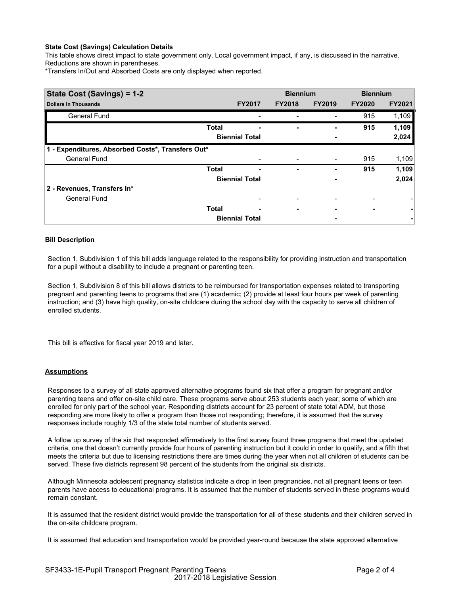## **State Cost (Savings) Calculation Details**

This table shows direct impact to state government only. Local government impact, if any, is discussed in the narrative. Reductions are shown in parentheses.

\*Transfers In/Out and Absorbed Costs are only displayed when reported.

| State Cost (Savings) = 1-2                        |              |                       | <b>Biennium</b> |               | <b>Biennium</b> |               |  |
|---------------------------------------------------|--------------|-----------------------|-----------------|---------------|-----------------|---------------|--|
| <b>Dollars in Thousands</b>                       |              | <b>FY2017</b>         | <b>FY2018</b>   | <b>FY2019</b> | <b>FY2020</b>   | <b>FY2021</b> |  |
| <b>General Fund</b>                               |              |                       |                 |               | 915             | 1,109         |  |
|                                                   | <b>Total</b> |                       | ۰               |               | 915             | 1,109         |  |
|                                                   |              | <b>Biennial Total</b> |                 |               |                 | 2,024         |  |
| 1 - Expenditures, Absorbed Costs*, Transfers Out* |              |                       |                 |               |                 |               |  |
| <b>General Fund</b>                               |              |                       |                 | -             | 915             | 1,109         |  |
|                                                   | <b>Total</b> | -                     | ۰               |               | 915             | 1,109         |  |
|                                                   |              | <b>Biennial Total</b> |                 |               |                 | 2,024         |  |
| 2 - Revenues, Transfers In*                       |              |                       |                 |               |                 |               |  |
| <b>General Fund</b>                               |              |                       |                 |               |                 |               |  |
|                                                   | <b>Total</b> | -                     | ٠               |               | ٠               | ۰             |  |
|                                                   |              | <b>Biennial Total</b> |                 |               |                 |               |  |

## **Bill Description**

Section 1, Subdivision 1 of this bill adds language related to the responsibility for providing instruction and transportation for a pupil without a disability to include a pregnant or parenting teen.

Section 1, Subdivision 8 of this bill allows districts to be reimbursed for transportation expenses related to transporting pregnant and parenting teens to programs that are (1) academic; (2) provide at least four hours per week of parenting instruction; and (3) have high quality, on-site childcare during the school day with the capacity to serve all children of enrolled students.

This bill is effective for fiscal year 2019 and later.

#### **Assumptions**

Responses to a survey of all state approved alternative programs found six that offer a program for pregnant and/or parenting teens and offer on-site child care. These programs serve about 253 students each year; some of which are enrolled for only part of the school year. Responding districts account for 23 percent of state total ADM, but those responding are more likely to offer a program than those not responding; therefore, it is assumed that the survey responses include roughly 1/3 of the state total number of students served.

A follow up survey of the six that responded affirmatively to the first survey found three programs that meet the updated criteria, one that doesn't currently provide four hours of parenting instruction but it could in order to qualify, and a fifth that meets the criteria but due to licensing restrictions there are times during the year when not all children of students can be served. These five districts represent 98 percent of the students from the original six districts.

Although Minnesota adolescent pregnancy statistics indicate a drop in teen pregnancies, not all pregnant teens or teen parents have access to educational programs. It is assumed that the number of students served in these programs would remain constant.

It is assumed that the resident district would provide the transportation for all of these students and their children served in the on-site childcare program.

It is assumed that education and transportation would be provided year-round because the state approved alternative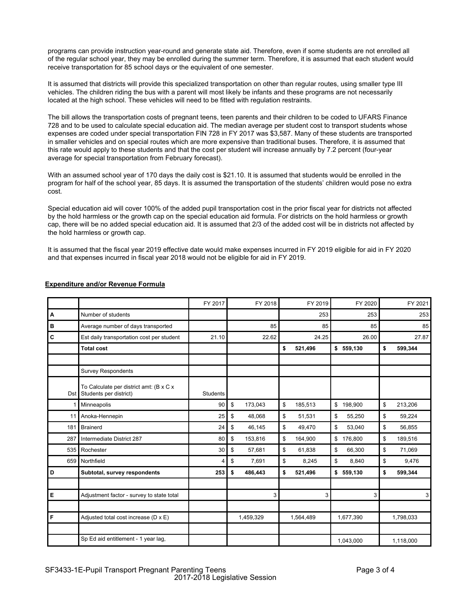programs can provide instruction year-round and generate state aid. Therefore, even if some students are not enrolled all of the regular school year, they may be enrolled during the summer term. Therefore, it is assumed that each student would receive transportation for 85 school days or the equivalent of one semester.

It is assumed that districts will provide this specialized transportation on other than regular routes, using smaller type III vehicles. The children riding the bus with a parent will most likely be infants and these programs are not necessarily located at the high school. These vehicles will need to be fitted with regulation restraints.

The bill allows the transportation costs of pregnant teens, teen parents and their children to be coded to UFARS Finance 728 and to be used to calculate special education aid. The median average per student cost to transport students whose expenses are coded under special transportation FIN 728 in FY 2017 was \$3,587. Many of these students are transported in smaller vehicles and on special routes which are more expensive than traditional buses. Therefore, it is assumed that this rate would apply to these students and that the cost per student will increase annually by 7.2 percent (four-year average for special transportation from February forecast).

With an assumed school year of 170 days the daily cost is \$21.10. It is assumed that students would be enrolled in the program for half of the school year, 85 days. It is assumed the transportation of the students' children would pose no extra cost.

Special education aid will cover 100% of the added pupil transportation cost in the prior fiscal year for districts not affected by the hold harmless or the growth cap on the special education aid formula. For districts on the hold harmless or growth cap, there will be no added special education aid. It is assumed that 2/3 of the added cost will be in districts not affected by the hold harmless or growth cap.

It is assumed that the fiscal year 2019 effective date would make expenses incurred in FY 2019 eligible for aid in FY 2020 and that expenses incurred in fiscal year 2018 would not be eligible for aid in FY 2019.

|       |                                                                   | FY 2017  | FY 2018       |          | FY 2019   |              | FY 2020   |    | FY 2021   |
|-------|-------------------------------------------------------------------|----------|---------------|----------|-----------|--------------|-----------|----|-----------|
| А     | Number of students                                                |          |               |          | 253       |              | 253       |    | 253       |
| в     | Average number of days transported                                |          | 85            | 85<br>85 |           | 85           |           |    |           |
| С     | Est daily transportation cost per student                         | 21.10    | 22.62         |          | 24.25     |              | 26.00     |    | 27.87     |
|       | <b>Total cost</b>                                                 |          |               | \$       | 521,496   |              | \$559,130 | \$ | 599,344   |
|       |                                                                   |          |               |          |           |              |           |    |           |
|       | <b>Survey Respondents</b>                                         |          |               |          |           |              |           |    |           |
| Dst I | To Calculate per district amt: (B x C x<br>Students per district) | Students |               |          |           |              |           |    |           |
|       | Minneapolis                                                       | 90       | \$<br>173,043 | \$       | 185,513   | $\mathbb{S}$ | 198,900   | \$ | 213,206   |
| 11    | Anoka-Hennepin                                                    | 25       | \$<br>48,068  | \$       | 51,531    | \$           | 55,250    | \$ | 59,224    |
| 181   | <b>Brainerd</b>                                                   | 24       | \$<br>46,145  | \$       | 49,470    | \$           | 53,040    | \$ | 56,855    |
| 287   | Intermediate District 287                                         | 80       | \$<br>153,816 | \$       | 164,900   | $\mathbb{S}$ | 176,800   | \$ | 189,516   |
| 535   | Rochester                                                         | 30       | \$<br>57,681  | \$       | 61,838    | \$           | 66,300    | \$ | 71,069    |
| 659   | Northfield                                                        | 4        | \$<br>7,691   | \$       | 8,245     | \$           | 8,840     | \$ | 9,476     |
| D     | Subtotal, survey respondents                                      | 253      | \$<br>486,443 | \$       | 521,496   |              | \$559,130 | \$ | 599,344   |
|       |                                                                   |          |               |          |           |              |           |    |           |
| Е     | Adjustment factor - survey to state total                         |          | 3             |          | 3         |              | 3         |    | 3         |
|       |                                                                   |          |               |          |           |              |           |    |           |
| F     | Adjusted total cost increase (D x E)                              |          | 1,459,329     |          | 1,564,489 |              | 1,677,390 |    | 1,798,033 |
|       |                                                                   |          |               |          |           |              |           |    |           |
|       | Sp Ed aid entitlement - 1 year lag,                               |          |               |          |           |              | 1,043,000 |    | 1,118,000 |

# **Expenditure and/or Revenue Formula**